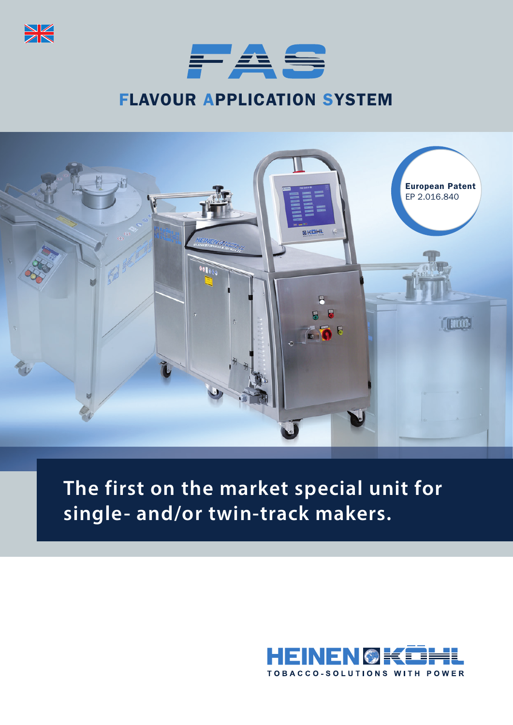



# FLAVOUR APPLICATION SYSTEM



# **The first on the market special unit for single- and/or twin-track makers.**

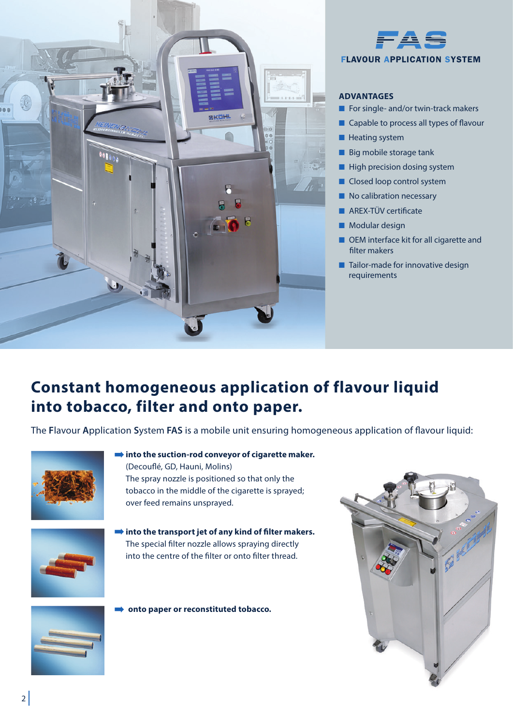



## **ADVANTAGES**

- For single- and/or twin-track makers
- Capable to process all types of flavour
- Heating system
- Big mobile storage tank
- High precision dosing system
- Closed loop control system
- No calibration necessary
- AREX-TÜV certificate
- Modular design
- OEM interface kit for all cigarette and filter makers
- Tailor-made for innovative design requirements

# **Constant homogeneous application of flavour liquid into tobacco, filter and onto paper.**

The **F**lavour **A**pplication **S**ystem **FAS** is a mobile unit ensuring homogeneous application of flavour liquid:



**into the suction-rod conveyor of cigarette maker.** (Decouflé, GD, Hauni, Molins) The spray nozzle is positioned so that only the tobacco in the middle of the cigarette is sprayed;



**into the transport jet of any kind of filter makers.** The special filter nozzle allows spraying directly into the centre of the filter or onto filter thread.

**onto paper or reconstituted tobacco.**

over feed remains unsprayed.



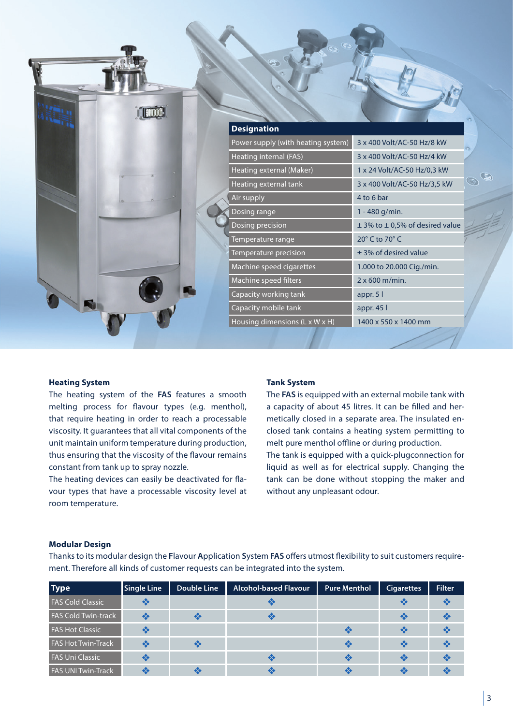|  | <b>Designation</b>                 |                                         |
|--|------------------------------------|-----------------------------------------|
|  | Power supply (with heating system) | 3 x 400 Volt/AC-50 Hz/8 kW              |
|  | Heating internal (FAS)             | 3 x 400 Volt/AC-50 Hz/4 kW              |
|  | Heating external (Maker)           | 1 x 24 Volt/AC-50 Hz/0,3 kW             |
|  | Heating external tank              | 3 x 400 Volt/AC-50 Hz/3,5 kW            |
|  | Air supply                         | 4 to 6 bar                              |
|  | Dosing range                       | 1 - 480 g/min.                          |
|  | Dosing precision                   | $\pm$ 3% to $\pm$ 0,5% of desired value |
|  | Temperature range                  | 20° C to 70° C                          |
|  | Temperature precision              | $±$ 3% of desired value                 |
|  | Machine speed cigarettes           | 1.000 to 20.000 Cig./min.               |
|  | Machine speed filters              | $2 \times 600$ m/min.                   |
|  | Capacity working tank              | appr. 5 l                               |
|  | Capacity mobile tank               | appr. 45 l                              |
|  | Housing dimensions (L x W x H)     | 1400 x 550 x 1400 mm                    |
|  |                                    |                                         |

#### **Heating System**

The heating system of the **FAS** features a smooth melting process for flavour types (e.g. menthol), that require heating in order to reach a processable viscosity. It guarantees that all vital components of the unit maintain uniform temperature during production, thus ensuring that the viscosity of the flavour remains constant from tank up to spray nozzle.

The heating devices can easily be deactivated for flavour types that have a processable viscosity level at room temperature.

#### **Tank System**

The **FAS** is equipped with an external mobile tank with a capacity of about 45 litres. It can be filled and hermetically closed in a separate area. The insulated enclosed tank contains a heating system permitting to melt pure menthol offline or during production. The tank is equipped with a quick-plugconnection for liquid as well as for electrical supply. Changing the tank can be done without stopping the maker and without any unpleasant odour.

#### **Modular Design**

Thanks to its modular design the **F**lavour **A**pplication **S**ystem **FAS** offers utmost flexibility to suit customers requirement. Therefore all kinds of customer requests can be integrated into the system.

| <b>Type</b>                | <b>Single Line</b> | Double Line | <b>Alcohol-based Flavour</b> | <b>Pure Menthol</b> | <b>Cigarettes</b> | <b>Filter</b> |
|----------------------------|--------------------|-------------|------------------------------|---------------------|-------------------|---------------|
| <b>FAS Cold Classic</b>    |                    |             |                              |                     |                   |               |
| <b>FAS Cold Twin-track</b> |                    |             | X                            |                     | ≪                 |               |
| <b>FAS Hot Classic</b>     |                    |             |                              | $\bullet$           | ≪                 |               |
| <b>FAS Hot Twin-Track</b>  |                    |             |                              | $\bullet$           | ≪                 |               |
| <b>FAS Uni Classic</b>     |                    |             |                              | $\propto$           | ≪                 |               |
| <b>FAS UNI Twin-Track</b>  |                    |             |                              |                     |                   |               |

 $\mathcal{F}_{\lambda}$